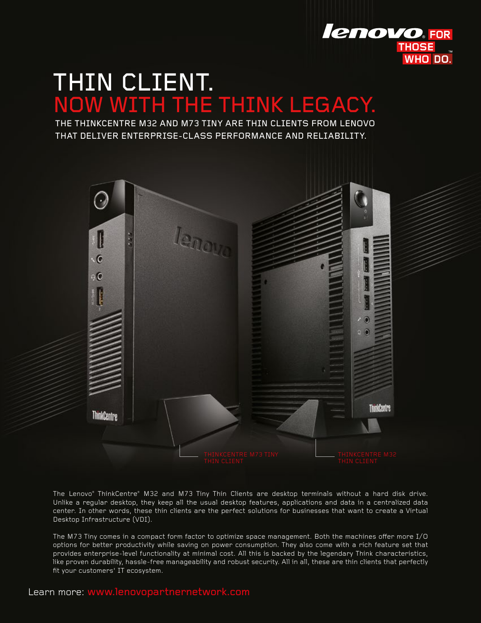

# THIN CLIENT. NOW WITH THE THINK LEGACY.

THE THINKCENTRE M32 AND M73 TINY ARE THIN CLIENTS FROM LENOVO THAT DELIVER ENTERPRISE-CLASS PERFORMANCE AND RELIABILITY.



The Lenovo® ThinkCentre® M32 and M73 Tiny Thin Clients are desktop terminals without a hard disk drive. Unlike a regular desktop, they keep all the usual desktop features, applications and data in a centralized data center. In other words, these thin clients are the perfect solutions for businesses that want to create a Virtual Desktop Infrastructure (VDI).

The M73 Tiny comes in a compact form factor to optimize space management. Both the machines offer more I/O options for better productivity while saving on power consumption. They also come with a rich feature set that provides enterprise-level functionality at minimal cost. All this is backed by the legendary Think characteristics, like proven durability, hassle-free manageability and robust security. All in all, these are thin clients that perfectly fit your customers' IT ecosystem.